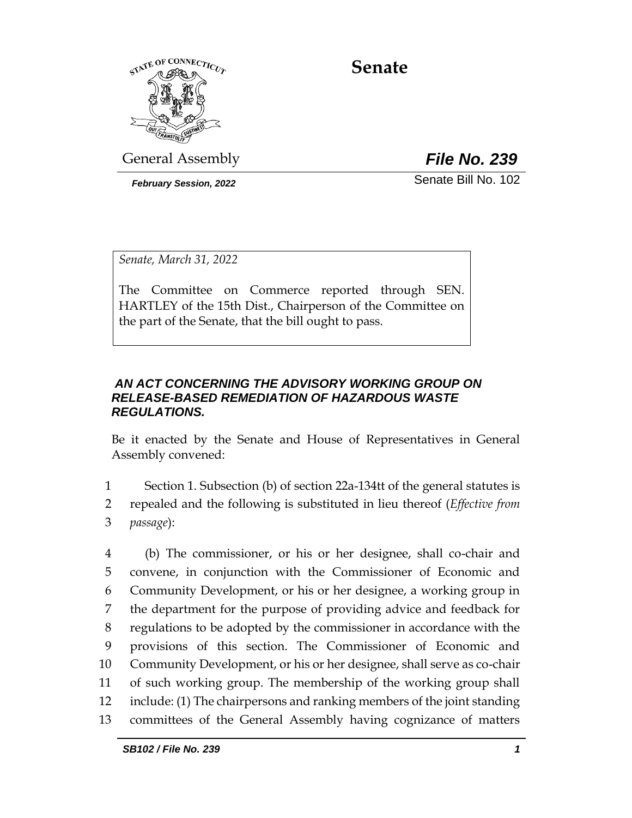

**Senate**

General Assembly *File No. 239*

*February Session, 2022* Senate Bill No. 102

*Senate, March 31, 2022*

The Committee on Commerce reported through SEN. HARTLEY of the 15th Dist., Chairperson of the Committee on the part of the Senate, that the bill ought to pass.

#### *AN ACT CONCERNING THE ADVISORY WORKING GROUP ON RELEASE-BASED REMEDIATION OF HAZARDOUS WASTE REGULATIONS.*

Be it enacted by the Senate and House of Representatives in General Assembly convened:

1 Section 1. Subsection (b) of section 22a-134tt of the general statutes is 2 repealed and the following is substituted in lieu thereof (*Effective from*  3 *passage*):

 (b) The commissioner, or his or her designee, shall co-chair and convene, in conjunction with the Commissioner of Economic and Community Development, or his or her designee, a working group in the department for the purpose of providing advice and feedback for regulations to be adopted by the commissioner in accordance with the provisions of this section. The Commissioner of Economic and Community Development, or his or her designee, shall serve as co-chair of such working group. The membership of the working group shall include: (1) The chairpersons and ranking members of the joint standing committees of the General Assembly having cognizance of matters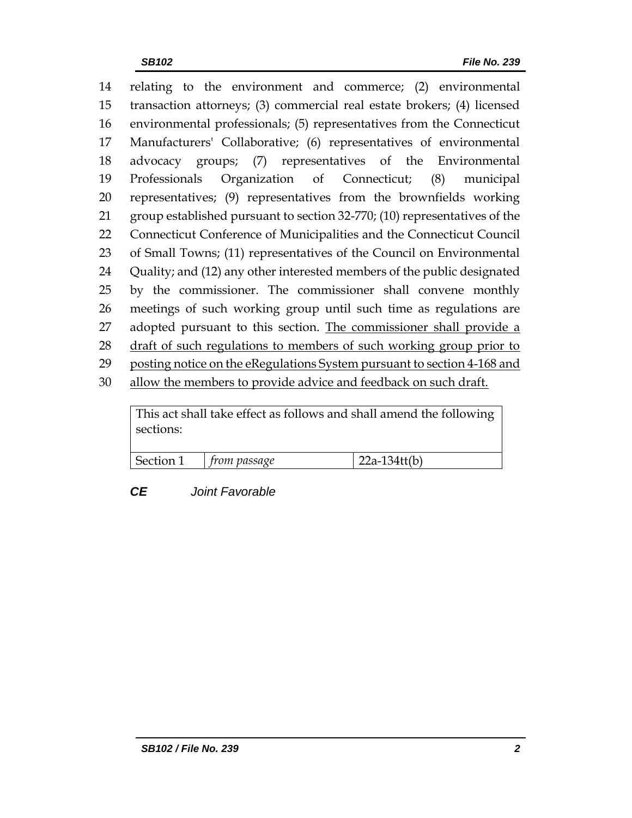relating to the environment and commerce; (2) environmental transaction attorneys; (3) commercial real estate brokers; (4) licensed environmental professionals; (5) representatives from the Connecticut Manufacturers' Collaborative; (6) representatives of environmental advocacy groups; (7) representatives of the Environmental Professionals Organization of Connecticut; (8) municipal representatives; (9) representatives from the brownfields working group established pursuant to section 32-770; (10) representatives of the Connecticut Conference of Municipalities and the Connecticut Council of Small Towns; (11) representatives of the Council on Environmental Quality; and (12) any other interested members of the public designated by the commissioner. The commissioner shall convene monthly meetings of such working group until such time as regulations are 27 adopted pursuant to this section. The commissioner shall provide a 28 draft of such regulations to members of such working group prior to posting notice on the eRegulations System pursuant to section 4-168 and allow the members to provide advice and feedback on such draft.

This act shall take effect as follows and shall amend the following sections:

| $S_{\rho}$<br>$\cdots$<br>$-$ | ssage |  |
|-------------------------------|-------|--|
|                               |       |  |

## *CE Joint Favorable*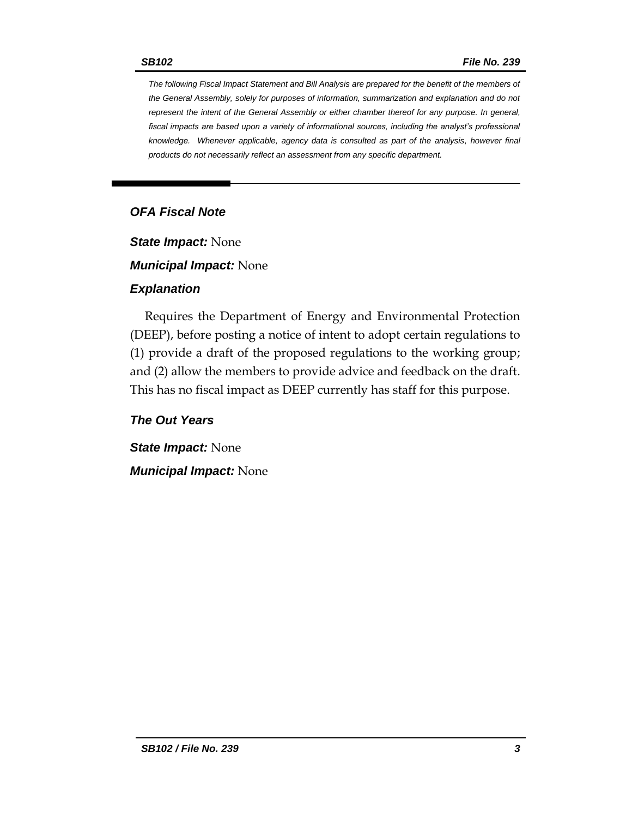*The following Fiscal Impact Statement and Bill Analysis are prepared for the benefit of the members of the General Assembly, solely for purposes of information, summarization and explanation and do not represent the intent of the General Assembly or either chamber thereof for any purpose. In general,*  fiscal impacts are based upon a variety of informational sources, including the analyst's professional *knowledge. Whenever applicable, agency data is consulted as part of the analysis, however final products do not necessarily reflect an assessment from any specific department.*

## *OFA Fiscal Note*

*State Impact:* None

*Municipal Impact:* None

#### *Explanation*

Requires the Department of Energy and Environmental Protection (DEEP), before posting a notice of intent to adopt certain regulations to (1) provide a draft of the proposed regulations to the working group; and (2) allow the members to provide advice and feedback on the draft. This has no fiscal impact as DEEP currently has staff for this purpose.

#### *The Out Years*

*State Impact:* None *Municipal Impact:* None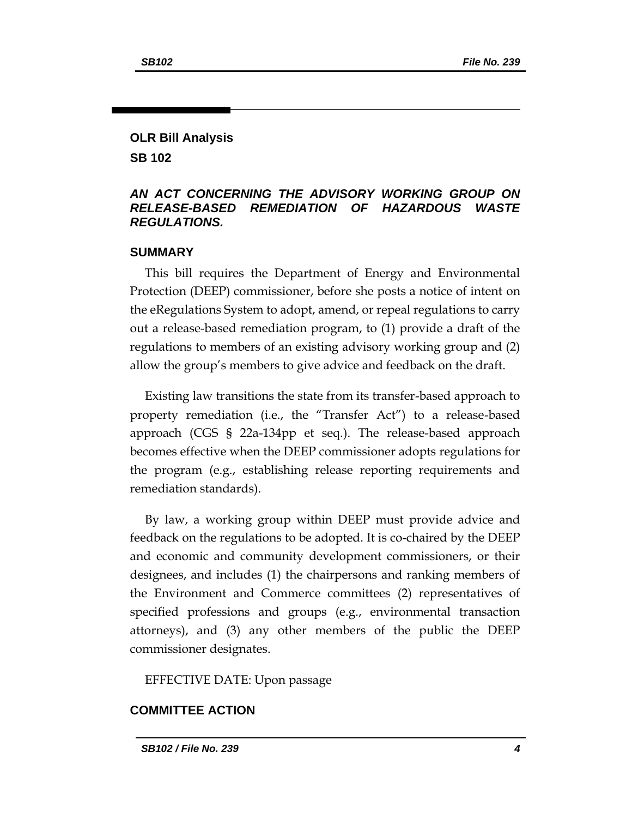# **OLR Bill Analysis**

**SB 102**

#### *AN ACT CONCERNING THE ADVISORY WORKING GROUP ON RELEASE-BASED REMEDIATION OF HAZARDOUS WASTE REGULATIONS.*

#### **SUMMARY**

This bill requires the Department of Energy and Environmental Protection (DEEP) commissioner, before she posts a notice of intent on the eRegulations System to adopt, amend, or repeal regulations to carry out a release-based remediation program, to (1) provide a draft of the regulations to members of an existing advisory working group and (2) allow the group's members to give advice and feedback on the draft.

Existing law transitions the state from its transfer-based approach to property remediation (i.e., the "Transfer Act") to a release-based approach (CGS § 22a-134pp et seq.). The release-based approach becomes effective when the DEEP commissioner adopts regulations for the program (e.g., establishing release reporting requirements and remediation standards).

By law, a working group within DEEP must provide advice and feedback on the regulations to be adopted. It is co-chaired by the DEEP and economic and community development commissioners, or their designees, and includes (1) the chairpersons and ranking members of the Environment and Commerce committees (2) representatives of specified professions and groups (e.g., environmental transaction attorneys), and (3) any other members of the public the DEEP commissioner designates.

EFFECTIVE DATE: Upon passage

## **COMMITTEE ACTION**